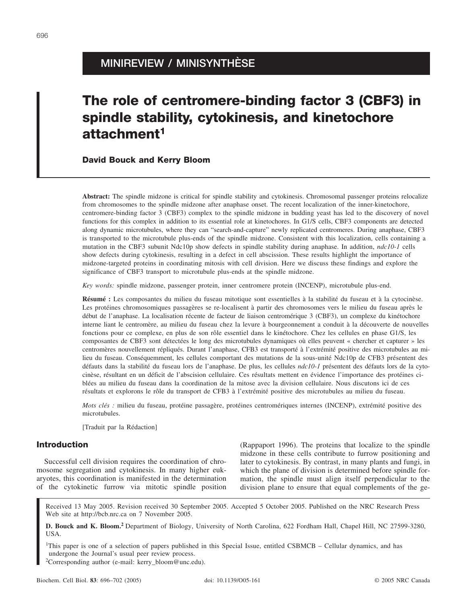# **MINIREVIEW / MINISYNTHÈSE**

# **The role of centromere-binding factor 3 (CBF3) in spindle stability, cytokinesis, and kinetochore attachment1**

**David Bouck and Kerry Bloom**

**Abstract:** The spindle midzone is critical for spindle stability and cytokinesis. Chromosomal passenger proteins relocalize from chromosomes to the spindle midzone after anaphase onset. The recent localization of the inner-kinetochore, centromere-binding factor 3 (CBF3) complex to the spindle midzone in budding yeast has led to the discovery of novel functions for this complex in addition to its essential role at kinetochores. In G1/S cells, CBF3 components are detected along dynamic microtubules, where they can "search-and-capture" newly replicated centromeres. During anaphase, CBF3 is transported to the microtubule plus-ends of the spindle midzone. Consistent with this localization, cells containing a mutation in the CBF3 subunit Ndc10p show defects in spindle stability during anaphase. In addition, *ndc10-1* cells show defects during cytokinesis, resulting in a defect in cell abscission. These results highlight the importance of midzone-targeted proteins in coordinating mitosis with cell division. Here we discuss these findings and explore the significance of CBF3 transport to microtubule plus-ends at the spindle midzone.

*Key words:* spindle midzone, passenger protein, inner centromere protein (INCENP), microtubule plus-end.

**Résumé :** Les composantes du milieu du fuseau mitotique sont essentielles à la stabilité du fuseau et à la cytocinèse. Les protéines chromosomiques passagères se re-localisent à partir des chromosomes vers le milieu du fuseau après le début de l'anaphase. La localisation récente de facteur de liaison centromérique 3 (CBF3), un complexe du kinétochore interne liant le centromère, au milieu du fuseau chez la levure à bourgeonnement a conduit à la découverte de nouvelles fonctions pour ce complexe, en plus de son rôle essentiel dans le kinétochore. Chez les cellules en phase G1/S, les composantes de CBF3 sont détectées le long des microtubules dynamiques où elles peuvent « chercher et capturer » les centromères nouvellement répliqués. Durant l'anaphase, CFB3 est transporté à l'extrémité positive des microtubules au milieu du fuseau. Conséquemment, les cellules comportant des mutations de la sous-unité Ndc10p de CFB3 présentent des défauts dans la stabilité du fuseau lors de l'anaphase. De plus, les cellules *ndc10-1* présentent des défauts lors de la cytocinèse, résultant en un déficit de l'abscision cellulaire. Ces résultats mettent en évidence l'importance des protéines ciblées au milieu du fuseau dans la coordination de la mitose avec la division cellulaire. Nous discutons ici de ces résultats et explorons le rôle du transport de CFB3 à l'extrémité positive des microtubules au milieu du fuseau.

*Mots clés :* milieu du fuseau, protéine passagère, protéines centromériques internes (INCENP), extrémité positive des microtubules.

[Traduit par la Rédaction]

### **Introduction**

Successful cell division requires the coordination of chromosome segregation and cytokinesis. In many higher eukaryotes, this coordination is manifested in the determination of the cytokinetic furrow via mitotic spindle position

(Rappaport 1996). The proteins that localize to the spindle midzone in these cells contribute to furrow positioning and later to cytokinesis. By contrast, in many plants and fungi, in which the plane of division is determined before spindle formation, the spindle must align itself perpendicular to the division plane to ensure that equal complements of the ge-

Received 13 May 2005. Revision received 30 September 2005. Accepted 5 October 2005. Published on the NRC Research Press Web site at http://bcb.nrc.ca on 7 November 2005.

**D. Bouck and K. Bloom.<sup>2</sup>** Department of Biology, University of North Carolina, 622 Fordham Hall, Chapel Hill, NC 27599-3280, USA.

<sup>1</sup>This paper is one of a selection of papers published in this Special Issue, entitled CSBMCB – Cellular dynamics, and has undergone the Journal's usual peer review process.

2 Corresponding author (e-mail: kerry\_bloom@unc.edu).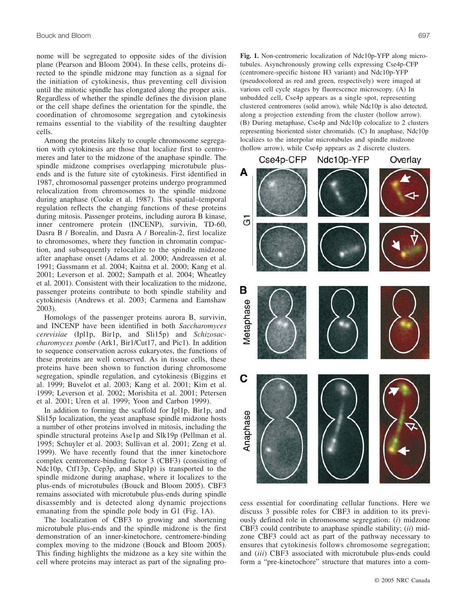nome will be segregated to opposite sides of the division plane (Pearson and Bloom 2004). In these cells, proteins directed to the spindle midzone may function as a signal for the initiation of cytokinesis, thus preventing cell division until the mitotic spindle has elongated along the proper axis. Regardless of whether the spindle defines the division plane or the cell shape defines the orientation for the spindle, the coordination of chromosome segregation and cytokinesis remains essential to the viability of the resulting daughter cells.

Among the proteins likely to couple chromosome segregation with cytokinesis are those that localize first to centromeres and later to the midzone of the anaphase spindle. The spindle midzone comprises overlapping microtubule plusends and is the future site of cytokinesis. First identified in 1987, chromosomal passenger proteins undergo programmed relocalization from chromosomes to the spindle midzone during anaphase (Cooke et al. 1987). This spatial–temporal regulation reflects the changing functions of these proteins during mitosis. Passenger proteins, including aurora B kinase, inner centromere protein (INCENP), survivin, TD-60, Dasra B / Borealin, and Dasra A / Borealin-2, first localize to chromosomes, where they function in chromatin compaction, and subsequently relocalize to the spindle midzone after anaphase onset (Adams et al. 2000; Andreassen et al. 1991; Gassmann et al. 2004; Kaitna et al. 2000; Kang et al. 2001; Leverson et al. 2002; Sampath et al. 2004; Wheatley et al. 2001). Consistent with their localization to the midzone, passenger proteins contribute to both spindle stability and cytokinesis (Andrews et al. 2003; Carmena and Earnshaw 2003).

Homologs of the passenger proteins aurora B, survivin, and INCENP have been identified in both *Saccharomyces cerevisiae* (Ipl1p, Bir1p, and Sli15p) and *Schizosaccharomyces pombe* (Ark1, Bir1/Cut17, and Pic1). In addition to sequence conservation across eukaryotes, the functions of these proteins are well conserved. As in tissue cells, these proteins have been shown to function during chromosome segregation, spindle regulation, and cytokinesis (Biggins et al. 1999; Buvelot et al. 2003; Kang et al. 2001; Kim et al. 1999; Leverson et al. 2002; Morishita et al. 2001; Petersen et al. 2001; Uren et al. 1999; Yoon and Carbon 1999).

In addition to forming the scaffold for Ipl1p, Bir1p, and Sli15p localization, the yeast anaphase spindle midzone hosts a number of other proteins involved in mitosis, including the spindle structural proteins Ase1p and Slk19p (Pellman et al. 1995; Schuyler et al. 2003; Sullivan et al. 2001; Zeng et al. 1999). We have recently found that the inner kinetochore complex centromere-binding factor 3 (CBF3) (consisting of Ndc10p, Ctf13p, Cep3p, and Skp1p) is transported to the spindle midzone during anaphase, where it localizes to the plus-ends of microtubules (Bouck and Bloom 2005). CBF3 remains associated with microtubule plus-ends during spindle disassembly and is detected along dynamic projections emanating from the spindle pole body in G1 (Fig. 1A).

The localization of CBF3 to growing and shortening microtubule plus-ends and the spindle midzone is the first demonstration of an inner-kinetochore, centromere-binding complex moving to the midzone (Bouck and Bloom 2005). This finding highlights the midzone as a key site within the cell where proteins may interact as part of the signaling pro**Fig. 1.** Non-centromeric localization of Ndc10p-YFP along microtubules. Asynchronously growing cells expressing Cse4p-CFP (centromere-specific histone H3 variant) and Ndc10p-YFP (pseudocolored as red and green, respectively) were imaged at various cell cycle stages by fluorescence microscopy. (A) In unbudded cell, Cse4p appears as a single spot, representing clustered centromeres (solid arrow), while Ndc10p is also detected, along a projection extending from the cluster (hollow arrow). (B) During metaphase, Cse4p and Ndc10p colocalize to 2 clusters representing bioriented sister chromatids. (C) In anaphase, Ndc10p localizes to the interpolar microtubules and spindle midzone (hollow arrow), while Cse4p appears as 2 discrete clusters.



cess essential for coordinating cellular functions. Here we discuss 3 possible roles for CBF3 in addition to its previously defined role in chromosome segregation: (*i*) midzone CBF3 could contribute to anaphase spindle stability; (*ii*) midzone CBF3 could act as part of the pathway necessary to ensures that cytokinesis follows chromosome segregation; and (*iii*) CBF3 associated with microtubule plus-ends could form a "pre-kinetochore" structure that matures into a com-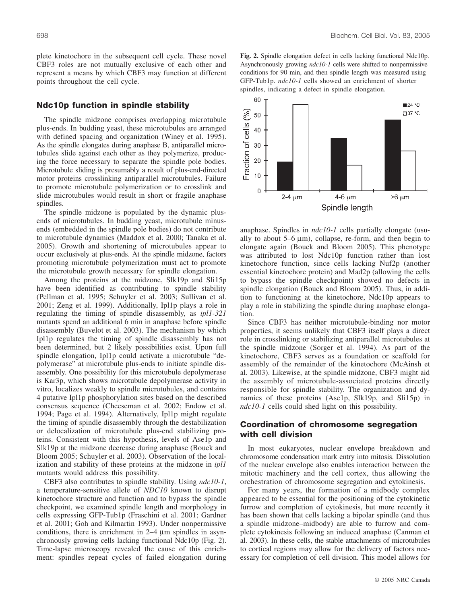plete kinetochore in the subsequent cell cycle. These novel CBF3 roles are not mutually exclusive of each other and represent a means by which CBF3 may function at different points throughout the cell cycle.

### **Ndc10p function in spindle stability**

The spindle midzone comprises overlapping microtubule plus-ends. In budding yeast, these microtubules are arranged with defined spacing and organization (Winey et al. 1995). As the spindle elongates during anaphase B, antiparallel microtubules slide against each other as they polymerize, producing the force necessary to separate the spindle pole bodies. Microtubule sliding is presumably a result of plus-end-directed motor proteins crosslinking antiparallel microtubules. Failure to promote microtubule polymerization or to crosslink and slide microtubules would result in short or fragile anaphase spindles.

The spindle midzone is populated by the dynamic plusends of microtubules. In budding yeast, microtubule minusends (embedded in the spindle pole bodies) do not contribute to microtubule dynamics (Maddox et al. 2000; Tanaka et al. 2005). Growth and shortening of microtubules appear to occur exclusively at plus-ends. At the spindle midzone, factors promoting microtubule polymerization must act to promote the microtubule growth necessary for spindle elongation.

Among the proteins at the midzone, Slk19p and Sli15p have been identified as contributing to spindle stability (Pellman et al. 1995; Schuyler et al. 2003; Sullivan et al. 2001; Zeng et al. 1999). Additionally, Ipl1p plays a role in regulating the timing of spindle disassembly, as *ipl1-321* mutants spend an additional 6 min in anaphase before spindle disassembly (Buvelot et al. 2003). The mechanism by which Ipl1p regulates the timing of spindle disassembly has not been determined, but 2 likely possibilities exist. Upon full spindle elongation, Ipl1p could activate a microtubule "depolymerase" at microtubule plus-ends to initiate spindle disassembly. One possibility for this microtubule depolymerase is Kar3p, which shows microtubule depolymerase activity in vitro, localizes weakly to spindle microtubules, and contains 4 putative Ipl1p phosphorylation sites based on the described consensus sequence (Cheeseman et al. 2002; Endow et al. 1994; Page et al. 1994). Alternatively, Ipl1p might regulate the timing of spindle disassembly through the destabilization or delocalization of microtubule plus-end stabilizing proteins. Consistent with this hypothesis, levels of Ase1p and Slk19p at the midzone decrease during anaphase (Bouck and Bloom 2005; Schuyler et al. 2003). Observation of the localization and stability of these proteins at the midzone in *ipl1* mutants would address this possibility.

CBF3 also contributes to spindle stability. Using *ndc10-1*, a temperature-sensitive allele of *NDC10* known to disrupt kinetochore structure and function and to bypass the spindle checkpoint, we examined spindle length and morphology in cells expressing GFP-Tub1p (Fraschini et al. 2001; Gardner et al. 2001; Goh and Kilmartin 1993). Under nonpermissive conditions, there is enrichment in  $2-4 \mu m$  spindles in asynchronously growing cells lacking functional Ndc10p (Fig. 2). Time-lapse microscopy revealed the cause of this enrichment: spindles repeat cycles of failed elongation during **Fig. 2.** Spindle elongation defect in cells lacking functional Ndc10p. Asynchronously growing *ndc10-1* cells were shifted to nonpermissive conditions for 90 min, and then spindle length was measured using GFP-Tub1p. *ndc10-1* cells showed an enrichment of shorter spindles, indicating a defect in spindle elongation.



anaphase. Spindles in *ndc10-1* cells partially elongate (usually to about  $5-6 \mu m$ , collapse, re-form, and then begin to elongate again (Bouck and Bloom 2005). This phenotype was attributed to lost Ndc10p function rather than lost kinetochore function, since cells lacking Nuf2p (another essential kinetochore protein) and Mad2p (allowing the cells to bypass the spindle checkpoint) showed no defects in spindle elongation (Bouck and Bloom 2005). Thus, in addition to functioning at the kinetochore, Ndc10p appears to play a role in stabilizing the spindle during anaphase elongation.

Since CBF3 has neither microtubule-binding nor motor properties, it seems unlikely that CBF3 itself plays a direct role in crosslinking or stabilizing antiparallel microtubules at the spindle midzone (Sorger et al. 1994). As part of the kinetochore, CBF3 serves as a foundation or scaffold for assembly of the remainder of the kinetochore (McAinsh et al. 2003). Likewise, at the spindle midzone, CBF3 might aid the assembly of microtubule-associated proteins directly responsible for spindle stability. The organization and dynamics of these proteins (Ase1p, Slk19p, and Sli15p) in *ndc10-1* cells could shed light on this possibility.

# **Coordination of chromosome segregation with cell division**

In most eukaryotes, nuclear envelope breakdown and chromosome condensation mark entry into mitosis. Dissolution of the nuclear envelope also enables interaction between the mitotic machinery and the cell cortex, thus allowing the orchestration of chromosome segregation and cytokinesis.

For many years, the formation of a midbody complex appeared to be essential for the positioning of the cytokinetic furrow and completion of cytokinesis, but more recently it has been shown that cells lacking a bipolar spindle (and thus a spindle midzone–midbody) are able to furrow and complete cytokinesis following an induced anaphase (Canman et al. 2003). In these cells, the stable attachments of microtubules to cortical regions may allow for the delivery of factors necessary for completion of cell division. This model allows for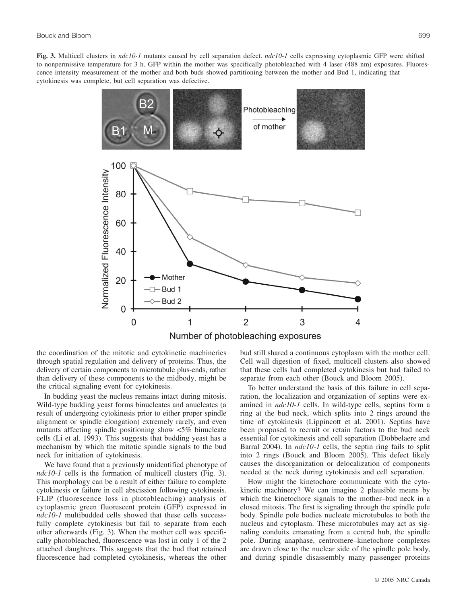**Fig. 3.** Multicell clusters in *ndc10-1* mutants caused by cell separation defect. *ndc10-1* cells expressing cytoplasmic GFP were shifted to nonpermissive temperature for 3 h. GFP within the mother was specifically photobleached with 4 laser (488 nm) exposures. Fluorescence intensity measurement of the mother and both buds showed partitioning between the mother and Bud 1, indicating that cytokinesis was complete, but cell separation was defective.



the coordination of the mitotic and cytokinetic machineries through spatial regulation and delivery of proteins. Thus, the delivery of certain components to microtubule plus-ends, rather than delivery of these components to the midbody, might be the critical signaling event for cytokinesis.

In budding yeast the nucleus remains intact during mitosis. Wild-type budding yeast forms binucleates and anucleates (a result of undergoing cytokinesis prior to either proper spindle alignment or spindle elongation) extremely rarely, and even mutants affecting spindle positioning show <5% binucleate cells (Li et al. 1993). This suggests that budding yeast has a mechanism by which the mitotic spindle signals to the bud neck for initiation of cytokinesis.

We have found that a previously unidentified phenotype of *ndc10-1* cells is the formation of multicell clusters (Fig. 3). This morphology can be a result of either failure to complete cytokinesis or failure in cell abscission following cytokinesis. FLIP (fluorescence loss in photobleaching) analysis of cytoplasmic green fluorescent protein (GFP) expressed in *ndc10-1* multibudded cells showed that these cells successfully complete cytokinesis but fail to separate from each other afterwards (Fig. 3). When the mother cell was specifically photobleached, fluorescence was lost in only 1 of the 2 attached daughters. This suggests that the bud that retained fluorescence had completed cytokinesis, whereas the other bud still shared a continuous cytoplasm with the mother cell. Cell wall digestion of fixed, multicell clusters also showed that these cells had completed cytokinesis but had failed to separate from each other (Bouck and Bloom 2005).

To better understand the basis of this failure in cell separation, the localization and organization of septins were examined in *ndc10-1* cells. In wild-type cells, septins form a ring at the bud neck, which splits into 2 rings around the time of cytokinesis (Lippincott et al. 2001). Septins have been proposed to recruit or retain factors to the bud neck essential for cytokinesis and cell separation (Dobbelaere and Barral 2004). In *ndc10-1* cells, the septin ring fails to split into 2 rings (Bouck and Bloom 2005). This defect likely causes the disorganization or delocalization of components needed at the neck during cytokinesis and cell separation.

How might the kinetochore communicate with the cytokinetic machinery? We can imagine 2 plausible means by which the kinetochore signals to the mother–bud neck in a closed mitosis. The first is signaling through the spindle pole body. Spindle pole bodies nucleate microtubules to both the nucleus and cytoplasm. These microtubules may act as signaling conduits emanating from a central hub, the spindle pole. During anaphase, centromere–kinetochore complexes are drawn close to the nuclear side of the spindle pole body, and during spindle disassembly many passenger proteins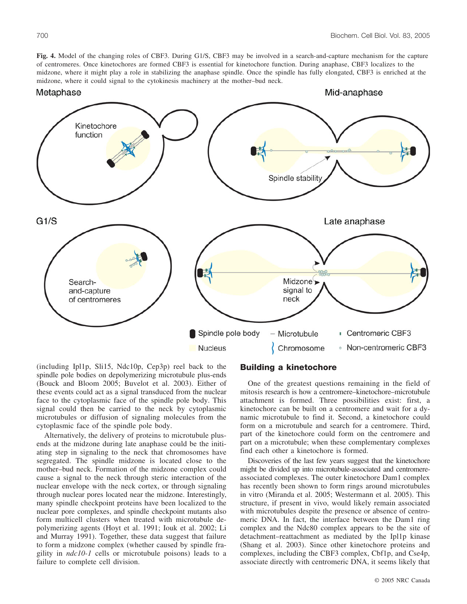**Fig. 4.** Model of the changing roles of CBF3. During G1/S, CBF3 may be involved in a search-and-capture mechanism for the capture of centromeres. Once kinetochores are formed CBF3 is essential for kinetochore function. During anaphase, CBF3 localizes to the midzone, where it might play a role in stabilizing the anaphase spindle. Once the spindle has fully elongated, CBF3 is enriched at the

midzone, where it could signal to the cytokinesis machinery at the mother–bud neck.Metaphase Mid-anaphase Kinetochore function Spindle stability  $G1/S$ Late anaphase Midzone<sup>></sup> Searchsignal to and-capture neck of centromeres Spindle pole body Microtubule Centromeric CBF3 **Nucleus** Chromosome • Non-centromeric CBF3

(including Ipl1p, Sli15, Ndc10p, Cep3p) reel back to the spindle pole bodies on depolymerizing microtubule plus-ends (Bouck and Bloom 2005; Buvelot et al. 2003). Either of these events could act as a signal transduced from the nuclear face to the cytoplasmic face of the spindle pole body. This signal could then be carried to the neck by cytoplasmic microtubules or diffusion of signaling molecules from the cytoplasmic face of the spindle pole body.

Alternatively, the delivery of proteins to microtubule plusends at the midzone during late anaphase could be the initiating step in signaling to the neck that chromosomes have segregated. The spindle midzone is located close to the mother–bud neck. Formation of the midzone complex could cause a signal to the neck through steric interaction of the nuclear envelope with the neck cortex, or through signaling through nuclear pores located near the midzone. Interestingly, many spindle checkpoint proteins have been localized to the nuclear pore complexes, and spindle checkpoint mutants also form multicell clusters when treated with microtubule depolymerizing agents (Hoyt et al. 1991; Iouk et al. 2002; Li and Murray 1991). Together, these data suggest that failure to form a midzone complex (whether caused by spindle fragility in *ndc10-1* cells or microtubule poisons) leads to a failure to complete cell division.

# **Building a kinetochore**

One of the greatest questions remaining in the field of mitosis research is how a centromere–kinetochore–microtubule attachment is formed. Three possibilities exist: first, a kinetochore can be built on a centromere and wait for a dynamic microtubule to find it. Second, a kinetochore could form on a microtubule and search for a centromere. Third, part of the kinetochore could form on the centromere and part on a microtubule; when these complementary complexes find each other a kinetochore is formed.

Discoveries of the last few years suggest that the kinetochore might be divided up into microtubule-associated and centromereassociated complexes. The outer kinetochore Dam1 complex has recently been shown to form rings around microtubules in vitro (Miranda et al. 2005; Westermann et al. 2005). This structure, if present in vivo, would likely remain associated with microtubules despite the presence or absence of centromeric DNA. In fact, the interface between the Dam1 ring complex and the Ndc80 complex appears to be the site of detachment–reattachment as mediated by the Ipl1p kinase (Shang et al. 2003). Since other kinetochore proteins and complexes, including the CBF3 complex, Cbf1p, and Cse4p, associate directly with centromeric DNA, it seems likely that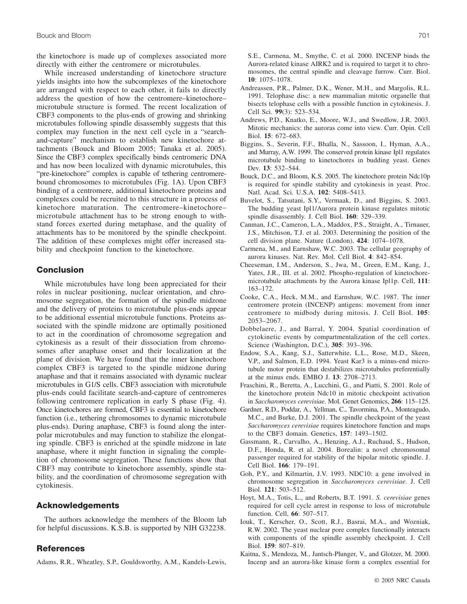the kinetochore is made up of complexes associated more directly with either the centromere or microtubules.

While increased understanding of kinetochore structure yields insights into how the subcomplexes of the kinetochore are arranged with respect to each other, it fails to directly address the question of how the centromere–kinetochore– microtubule structure is formed. The recent localization of CBF3 components to the plus-ends of growing and shrinking microtubules following spindle disassembly suggests that this complex may function in the next cell cycle in a "searchand-capture" mechanism to establish new kinetochore attachments (Bouck and Bloom 2005; Tanaka et al. 2005). Since the CBF3 complex specifically binds centromeric DNA and has now been localized with dynamic microtubules, this "pre-kinetochore" complex is capable of tethering centromerebound chromosomes to microtubules (Fig. 1A). Upon CBF3 binding of a centromere, additional kinetochore proteins and complexes could be recruited to this structure in a process of kinetochore maturation. The centromere–kinetochore– microtubule attachment has to be strong enough to withstand forces exerted during metaphase, and the quality of attachments has to be monitored by the spindle checkpoint. The addition of these complexes might offer increased stability and checkpoint function to the kinetochore.

## **Conclusion**

While microtubules have long been appreciated for their roles in nuclear positioning, nuclear orientation, and chromosome segregation, the formation of the spindle midzone and the delivery of proteins to microtubule plus-ends appear to be additional essential microtubule functions. Proteins associated with the spindle midzone are optimally positioned to act in the coordination of chromosome segregation and cytokinesis as a result of their dissociation from chromosomes after anaphase onset and their localization at the plane of division. We have found that the inner kinetochore complex CBF3 is targeted to the spindle midzone during anaphase and that it remains associated with dynamic nuclear microtubules in G1/S cells. CBF3 association with microtubule plus-ends could facilitate search-and-capture of centromeres following centromere replication in early S phase (Fig. 4). Once kinetochores are formed, CBF3 is essential to kinetochore function (i.e., tethering chromosomes to dynamic microtubule plus-ends). During anaphase, CBF3 is found along the interpolar microtubules and may function to stabilize the elongating spindle. CBF3 is enriched at the spindle midzone in late anaphase, where it might function in signaling the completion of chromosome segregation. These functions show that CBF3 may contribute to kinetochore assembly, spindle stability, and the coordination of chromosome segregation with cytokinesis.

#### **Acknowledgements**

The authors acknowledge the members of the Bloom lab for helpful discussions. K.S.B. is supported by NIH G32238.

### **References**

Adams, R.R., Wheatley, S.P., Gouldsworthy, A.M., Kandels-Lewis,

S.E., Carmena, M., Smythe, C. et al. 2000. INCENP binds the Aurora-related kinase AIRK2 and is required to target it to chromosomes, the central spindle and cleavage furrow. Curr. Biol. **10**: 1075–1078.

- Andreassen, P.R., Palmer, D.K., Wener, M.H., and Margolis, R.L. 1991. Telophase disc: a new mammalian mitotic organelle that bisects telophase cells with a possible function in cytokinesis. J. Cell Sci. **99**(3): 523–534.
- Andrews, P.D., Knatko, E., Moore, W.J., and Swedlow, J.R. 2003. Mitotic mechanics: the auroras come into view. Curr. Opin. Cell Biol. **15**: 672–683.
- Biggins, S., Severin, F.F., Bhalla, N., Sassoon, I., Hyman, A.A., and Murray, A.W. 1999. The conserved protein kinase Ipl1 regulates microtubule binding to kinetochores in budding yeast. Genes Dev. **13**: 532–544.
- Bouck, D.C., and Bloom, K.S. 2005. The kinetochore protein Ndc10p is required for spindle stability and cytokinesis in yeast. Proc. Natl. Acad. Sci. U.S.A. **102**: 5408–5413.
- Buvelot, S., Tatsutani, S.Y., Vermaak, D., and Biggins, S. 2003. The budding yeast Ipl1/Aurora protein kinase regulates mitotic spindle disassembly. J. Cell Biol. **160**: 329–339.
- Canman, J.C., Cameron, L.A., Maddox, P.S., Straight, A., Tirnauer, J.S., Mitchison, T.J. et al. 2003. Determining the position of the cell division plane. Nature (London), **424**: 1074–1078.
- Carmena, M., and Earnshaw, W.C. 2003. The cellular geography of aurora kinases. Nat. Rev. Mol. Cell Biol. **4**: 842–854.
- Cheeseman, I.M., Anderson, S., Jwa, M., Green, E.M., Kang, J., Yates, J.R., III. et al. 2002. Phospho-regulation of kinetochoremicrotubule attachments by the Aurora kinase Ipl1p. Cell, **111**: 163–172.
- Cooke, C.A., Heck, M.M., and Earnshaw, W.C. 1987. The inner centromere protein (INCENP) antigens: movement from inner centromere to midbody during mitosis. J. Cell Biol. **105**: 2053–2067.
- Dobbelaere, J., and Barral, Y. 2004. Spatial coordination of cytokinetic events by compartmentalization of the cell cortex. Science (Washington, D.C.), **305**: 393–396.
- Endow, S.A., Kang, S.J., Satterwhite, L.L., Rose, M.D., Skeen, V.P., and Salmon, E.D. 1994. Yeast Kar3 is a minus-end microtubule motor protein that destabilizes microtubules preferentially at the minus ends. EMBO J. **13**: 2708–2713.
- Fraschini, R., Beretta, A., Lucchini, G., and Piatti, S. 2001. Role of the kinetochore protein Ndc10 in mitotic checkpoint activation in *Saccharomyces cerevisiae*. Mol. Genet Genomics, **266**: 115–125.
- Gardner, R.D., Poddar, A., Yellman, C., Tavormina, P.A., Monteagudo, M.C., and Burke, D.J. 2001. The spindle checkpoint of the yeast *Saccharomyces cerevisiae* requires kinetochore function and maps to the CBF3 domain. Genetics, **157**: 1493–1502.
- Gassmann, R., Carvalho, A., Henzing, A.J., Ruchaud, S., Hudson, D.F., Honda, R. et al. 2004. Borealin: a novel chromosomal passenger required for stability of the bipolar mitotic spindle. J. Cell Biol. **166**: 179–191.
- Goh, P.Y., and Kilmartin, J.V. 1993. NDC10: a gene involved in chromosome segregation in *Saccharomyces cerevisiae*. J. Cell Biol. **121**: 503–512.
- Hoyt, M.A., Totis, L., and Roberts, B.T. 1991. *S. cerevisiae* genes required for cell cycle arrest in response to loss of microtubule function. Cell, **66**: 507–517.
- Iouk, T., Kerscher, O., Scott, R.J., Basrai, M.A., and Wozniak, R.W. 2002. The yeast nuclear pore complex functionally interacts with components of the spindle assembly checkpoint. J. Cell Biol. **159**: 807–819.
- Kaitna, S., Mendoza, M., Jantsch-Plunger, V., and Glotzer, M. 2000. Incenp and an aurora-like kinase form a complex essential for